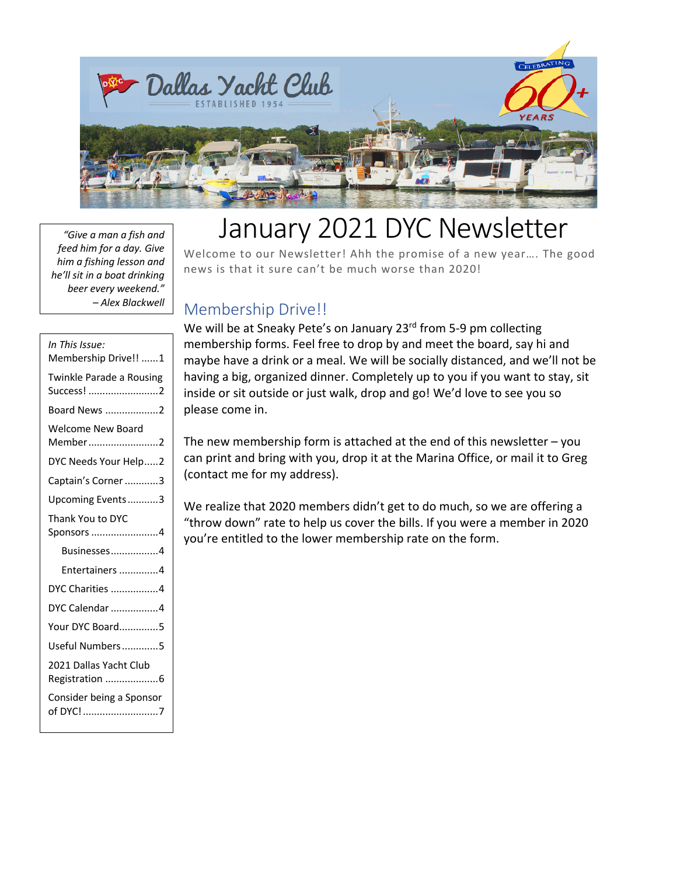

# January 2021 DYC Newsletter

Welcome to our Newsletter! Ahh the promise of a new year…. The good news is that it sure can't be much worse than 2020! *"Give a man a fish and feed him for a day. Give him a fishing lesson and he'll sit in a boat drinking beer every weekend." – Alex Blackwell*

## Membership Drive!!

We will be at Sneaky Pete's on January 23rd from 5-9 pm collecting membership forms. Feel free to drop by and meet the board, say hi and maybe have a drink or a meal. We will be socially distanced, and we'll not be having a big, organized dinner. Completely up to you if you want to stay, sit inside or sit outside or just walk, drop and go! We'd love to see you so please come in.

The new membership form is attached at the end of this newsletter  $-$  you can print and bring with you, drop it at the Marina Office, or mail it to Greg (contact me for my address).

We realize that 2020 members didn't get to do much, so we are offering a "throw down" rate to help us cover the bills. If you were a member in 2020 you're entitled to the lower membership rate on the form.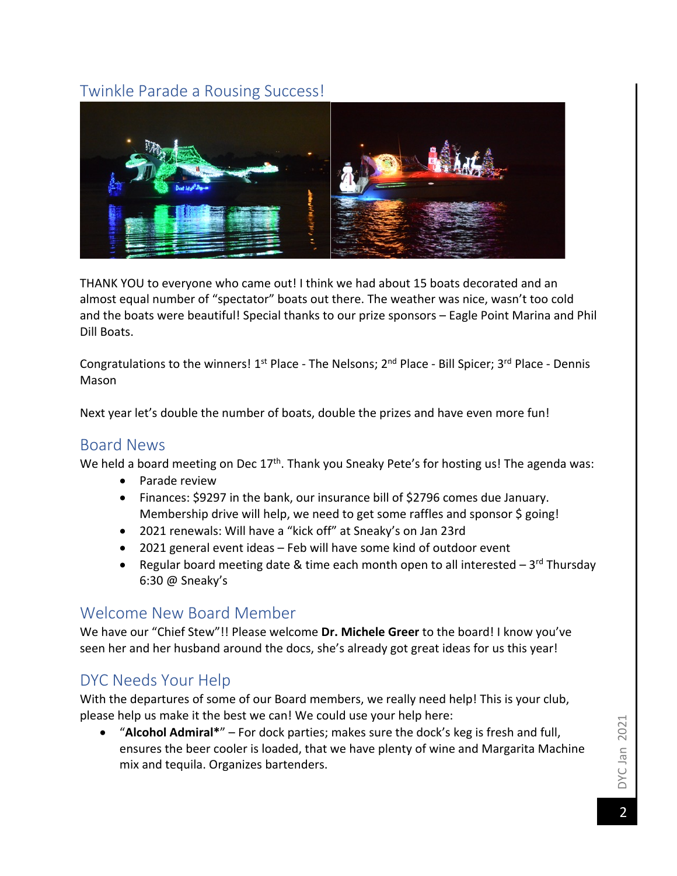## Twinkle Parade a Rousing Success!



THANK YOU to everyone who came out! I think we had about 15 boats decorated and an almost equal number of "spectator" boats out there. The weather was nice, wasn't too cold and the boats were beautiful! Special thanks to our prize sponsors - Eagle Point Marina and Phil Dill Boats.

Congratulations to the winners! 1<sup>st</sup> Place - The Nelsons; 2<sup>nd</sup> Place - Bill Spicer; 3<sup>rd</sup> Place - Dennis Mason

Next year let's double the number of boats, double the prizes and have even more fun!

#### Board News

We held a board meeting on Dec 17<sup>th</sup>. Thank you Sneaky Pete's for hosting us! The agenda was:

- Parade review
- Finances: \$9297 in the bank, our insurance bill of \$2796 comes due January. Membership drive will help, we need to get some raffles and sponsor \$ going!
- 2021 renewals: Will have a "kick off" at Sneaky's on Jan 23rd
- 2021 general event ideas Feb will have some kind of outdoor event
- Regular board meeting date & time each month open to all interested  $-3^{rd}$  Thursday 6:30 @ Sneaky's

#### Welcome New Board Member

We have our "Chief Stew"!! Please welcome **Dr. Michele Greer** to the board! I know you've seen her and her husband around the docs, she's already got great ideas for us this year!

## DYC Needs Your Help

With the departures of some of our Board members, we really need help! This is your club, please help us make it the best we can! We could use your help here:

• "**Alcohol Admiral\***" – For dock parties; makes sure the dock's keg is fresh and full, ensures the beer cooler is loaded, that we have plenty of wine and Margarita Machine mix and tequila. Organizes bartenders.

DYC Jan 2021 DYC Jan 2021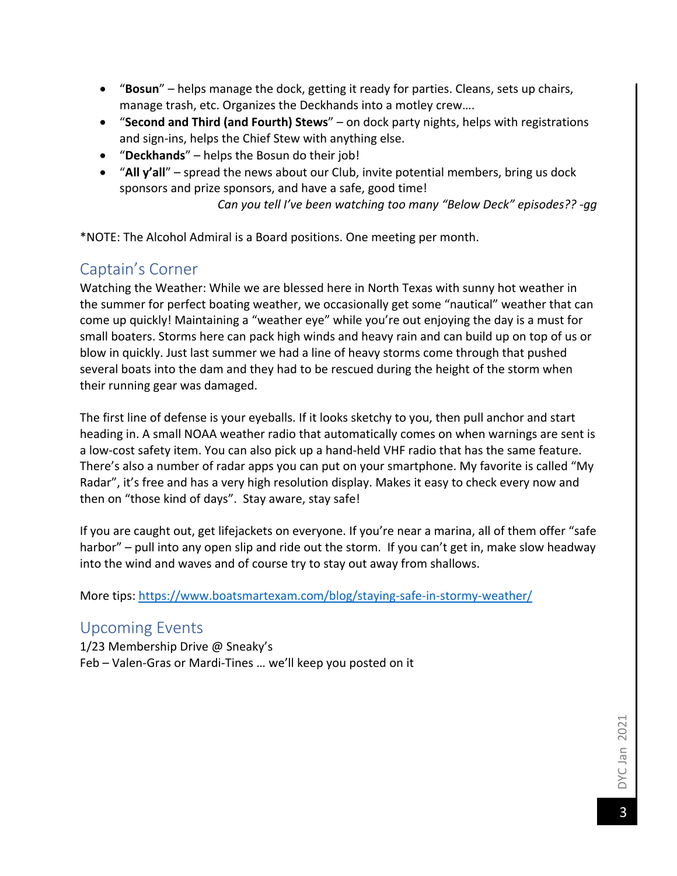- "**Bosun**" helps manage the dock, getting it ready for parties. Cleans, sets up chairs, manage trash, etc. Organizes the Deckhands into a motley crew….
- "**Second and Third (and Fourth) Stews**" on dock party nights, helps with registrations and sign-ins, helps the Chief Stew with anything else.
- "**Deckhands**" helps the Bosun do their job!
- "**All y'all**" spread the news about our Club, invite potential members, bring us dock sponsors and prize sponsors, and have a safe, good time!

*Can you tell I've been watching too many "Below Deck" episodes?? -gg*

\*NOTE: The Alcohol Admiral is a Board positions. One meeting per month.

### Captain's Corner

Watching the Weather: While we are blessed here in North Texas with sunny hot weather in the summer for perfect boating weather, we occasionally get some "nautical" weather that can come up quickly! Maintaining a "weather eye" while you're out enjoying the day is a must for small boaters. Storms here can pack high winds and heavy rain and can build up on top of us or blow in quickly. Just last summer we had a line of heavy storms come through that pushed several boats into the dam and they had to be rescued during the height of the storm when their running gear was damaged.

The first line of defense is your eyeballs. If it looks sketchy to you, then pull anchor and start heading in. A small NOAA weather radio that automatically comes on when warnings are sent is a low-cost safety item. You can also pick up a hand-held VHF radio that has the same feature. There's also a number of radar apps you can put on your smartphone. My favorite is called "My Radar", it's free and has a very high resolution display. Makes it easy to check every now and then on "those kind of days". Stay aware, stay safe!

If you are caught out, get lifejackets on everyone. If you're near a marina, all of them offer "safe harbor" – pull into any open slip and ride out the storm. If you can't get in, make slow headway into the wind and waves and of course try to stay out away from shallows.

More tips: https://www.boatsmartexam.com/blog/staying-safe-in-stormy-weather/

#### Upcoming Events

1/23 Membership Drive @ Sneaky's Feb – Valen-Gras or Mardi-Tines … we'll keep you posted on it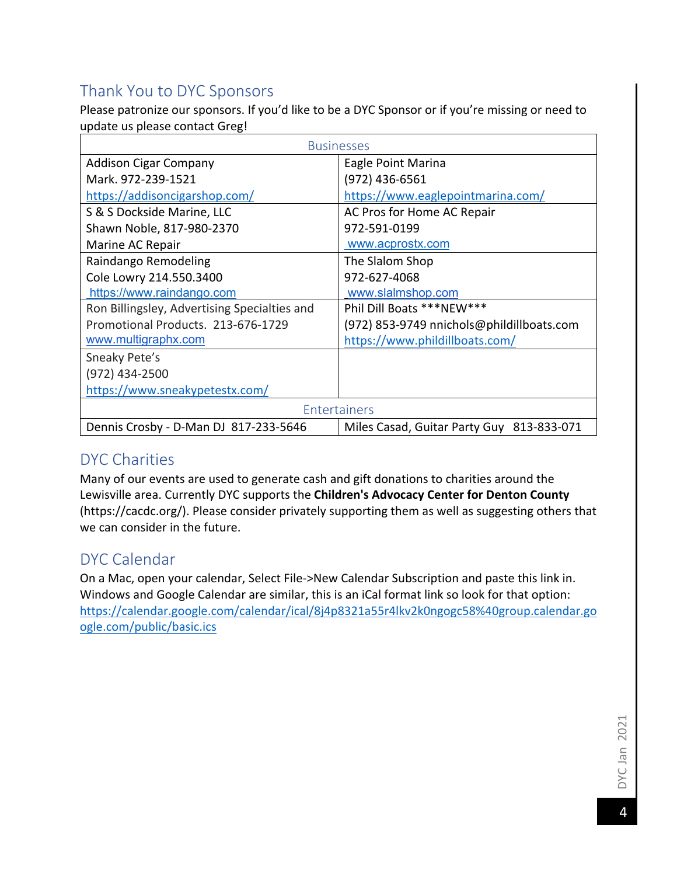# Thank You to DYC Sponsors

Please patronize our sponsors. If you'd like to be a DYC Sponsor or if you're missing or need to update us please contact Greg!

| <b>Businesses</b>                            |                                           |  |  |  |
|----------------------------------------------|-------------------------------------------|--|--|--|
| <b>Addison Cigar Company</b>                 | Eagle Point Marina                        |  |  |  |
| Mark. 972-239-1521                           | (972) 436-6561                            |  |  |  |
| https://addisoncigarshop.com/                | https://www.eaglepointmarina.com/         |  |  |  |
| S & S Dockside Marine, LLC                   | AC Pros for Home AC Repair                |  |  |  |
| Shawn Noble, 817-980-2370                    | 972-591-0199                              |  |  |  |
| Marine AC Repair                             | www.acprostx.com                          |  |  |  |
| Raindango Remodeling                         | The Slalom Shop                           |  |  |  |
| Cole Lowry 214.550.3400                      | 972-627-4068                              |  |  |  |
| https://www.raindango.com                    | www.slalmshop.com                         |  |  |  |
| Ron Billingsley, Advertising Specialties and | Phil Dill Boats *** NEW ***               |  |  |  |
| Promotional Products, 213-676-1729           | (972) 853-9749 nnichols@phildillboats.com |  |  |  |
| www.multigraphx.com                          | https://www.phildillboats.com/            |  |  |  |
| Sneaky Pete's                                |                                           |  |  |  |
| (972) 434-2500                               |                                           |  |  |  |
| https://www.sneakypetestx.com/               |                                           |  |  |  |
| Entertainers                                 |                                           |  |  |  |
| Dennis Crosby - D-Man DJ 817-233-5646        | Miles Casad, Guitar Party Guy 813-833-071 |  |  |  |

## DYC Charities

Many of our events are used to generate cash and gift donations to charities around the Lewisville area. Currently DYC supports the **Children's Advocacy Center for Denton County** (https://cacdc.org/). Please consider privately supporting them as well as suggesting others that we can consider in the future.

#### DYC Calendar

On a Mac, open your calendar, Select File->New Calendar Subscription and paste this link in. Windows and Google Calendar are similar, this is an iCal format link so look for that option: https://calendar.google.com/calendar/ical/8j4p8321a55r4lkv2k0ngogc58%40group.calendar.go ogle.com/public/basic.ics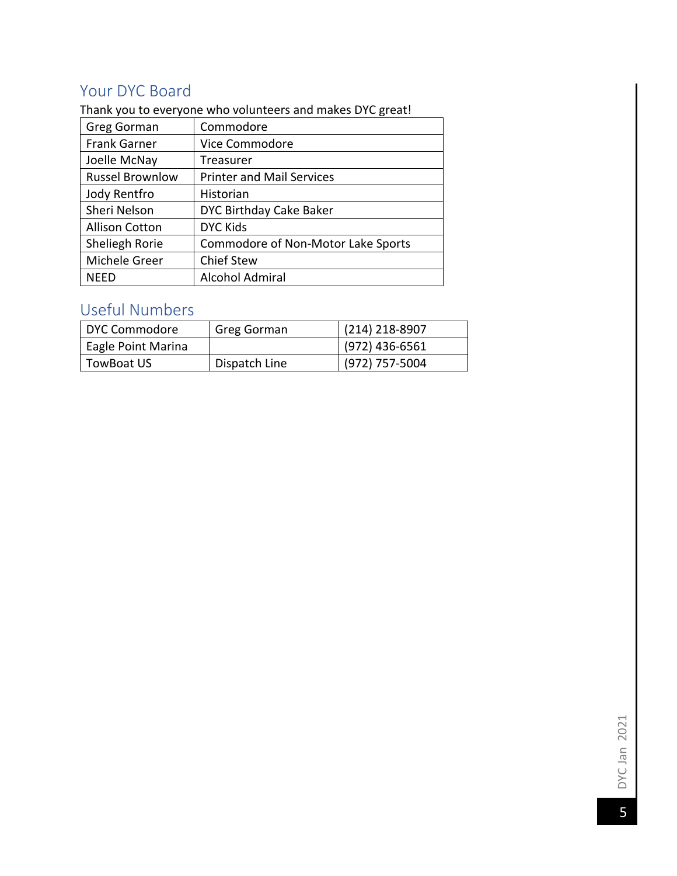# Your DYC Board

Thank you to everyone who volunteers and makes DYC great!

| Greg Gorman            | Commodore                          |
|------------------------|------------------------------------|
| <b>Frank Garner</b>    | Vice Commodore                     |
| Joelle McNay           | Treasurer                          |
| <b>Russel Brownlow</b> | <b>Printer and Mail Services</b>   |
| Jody Rentfro           | Historian                          |
| Sheri Nelson           | DYC Birthday Cake Baker            |
| <b>Allison Cotton</b>  | <b>DYC Kids</b>                    |
| Sheliegh Rorie         | Commodore of Non-Motor Lake Sports |
| Michele Greer          | <b>Chief Stew</b>                  |
| NEED                   | <b>Alcohol Admiral</b>             |

# Useful Numbers

| DYC Commodore      | Greg Gorman                       | $(214)$ 218-8907 |
|--------------------|-----------------------------------|------------------|
| Eagle Point Marina |                                   | $(972)$ 436-6561 |
| TowBoat US         | $(972)$ 757-5004<br>Dispatch Line |                  |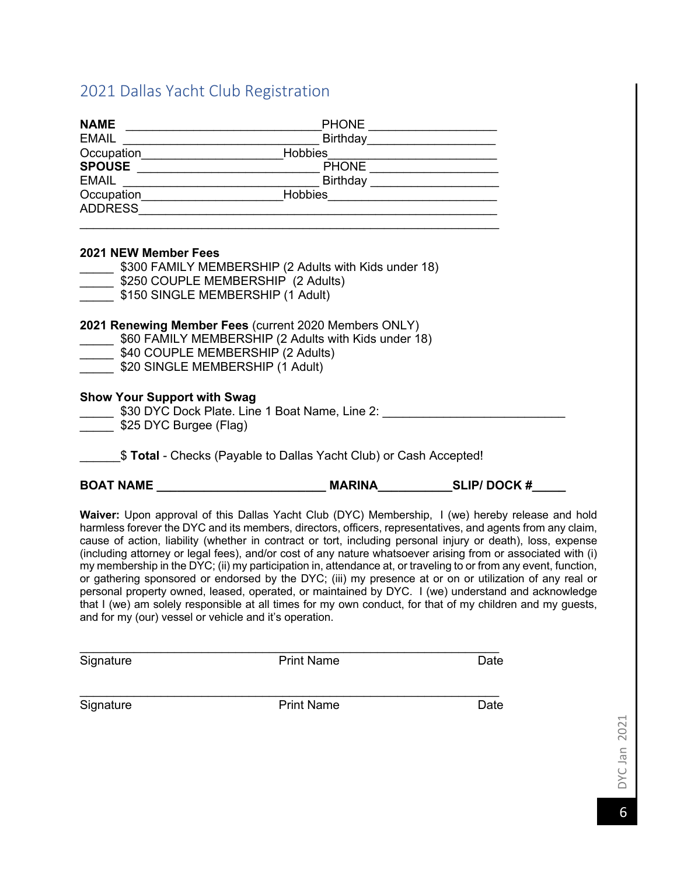## 2021 Dallas Yacht Club Registration

|                                                                                                                                                                                                                                                                                                                                                                                                                                               | Birthday_______________________       |  |  |  |  |
|-----------------------------------------------------------------------------------------------------------------------------------------------------------------------------------------------------------------------------------------------------------------------------------------------------------------------------------------------------------------------------------------------------------------------------------------------|---------------------------------------|--|--|--|--|
|                                                                                                                                                                                                                                                                                                                                                                                                                                               | Cocupation<br>SPOUSE Hobbies<br>PHONE |  |  |  |  |
|                                                                                                                                                                                                                                                                                                                                                                                                                                               |                                       |  |  |  |  |
|                                                                                                                                                                                                                                                                                                                                                                                                                                               |                                       |  |  |  |  |
| Occupation______________________________Hobbies_________________________________                                                                                                                                                                                                                                                                                                                                                              |                                       |  |  |  |  |
|                                                                                                                                                                                                                                                                                                                                                                                                                                               |                                       |  |  |  |  |
| <b>2021 NEW Member Fees</b><br>\$300 FAMILY MEMBERSHIP (2 Adults with Kids under 18)                                                                                                                                                                                                                                                                                                                                                          |                                       |  |  |  |  |
| \$250 COUPLE MEMBERSHIP (2 Adults)                                                                                                                                                                                                                                                                                                                                                                                                            |                                       |  |  |  |  |
| \$150 SINGLE MEMBERSHIP (1 Adult)                                                                                                                                                                                                                                                                                                                                                                                                             |                                       |  |  |  |  |
|                                                                                                                                                                                                                                                                                                                                                                                                                                               |                                       |  |  |  |  |
| 2021 Renewing Member Fees (current 2020 Members ONLY)<br>560 FAMILY MEMBERSHIP (2 Adults with Kids under 18)<br>540 COUPLE MEMBERSHIP (2 Adults)<br>\$20 SINGLE MEMBERSHIP (1 Adult)                                                                                                                                                                                                                                                          |                                       |  |  |  |  |
| <b>Show Your Support with Swag</b><br>530 DYC Dock Plate. Line 1 Boat Name, Line 2: 11 Marries 1 930 DYC Dock Plate. Line 1 Boat Name, Line 2:<br>\$25 DYC Burgee (Flag)                                                                                                                                                                                                                                                                      |                                       |  |  |  |  |
| \$ Total - Checks (Payable to Dallas Yacht Club) or Cash Accepted!                                                                                                                                                                                                                                                                                                                                                                            |                                       |  |  |  |  |
|                                                                                                                                                                                                                                                                                                                                                                                                                                               |                                       |  |  |  |  |
| Waiver: Upon approval of this Dallas Yacht Club (DYC) Membership, I (we) hereby release and hold<br>harmless forever the DYC and its members, directors, officers, representatives, and agents from any claim,<br>cause of action, liability (whether in contract or tort, including personal injury or death), loss, expense<br>(including attorney or legal fees), and/or cost of any nature whatsoever arising from or associated with (i) |                                       |  |  |  |  |

my membership in the DYC; (ii) my participation in, attendance at, or traveling to or from any event, function, or gathering sponsored or endorsed by the DYC; (iii) my presence at or on or utilization of any real or personal property owned, leased, operated, or maintained by DYC. I (we) understand and acknowledge that I (we) am solely responsible at all times for my own conduct, for that of my children and my guests, and for my (our) vessel or vehicle and it's operation.

| Signature | <b>Print Name</b> | Date |
|-----------|-------------------|------|
|           |                   |      |

 $\_$ 

Signature **Date** Print Name **Date**